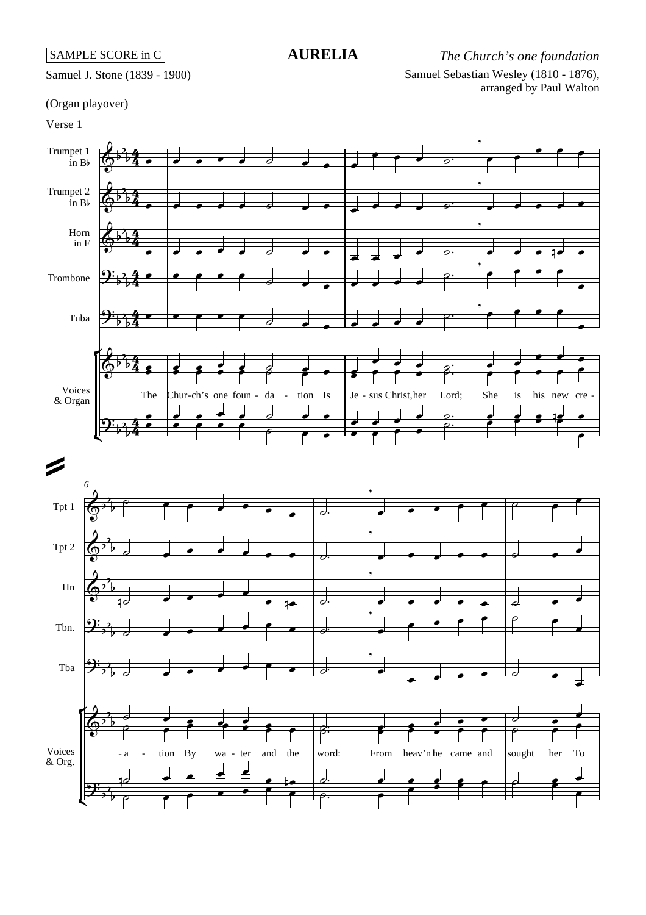Samuel Sebastian Wesley (1810 - 1876), arranged by Paul Walton **AURELIA** *The Church's one foundation*

## Samuel J. Stone (1839 - 1900)

## (Organ playover)

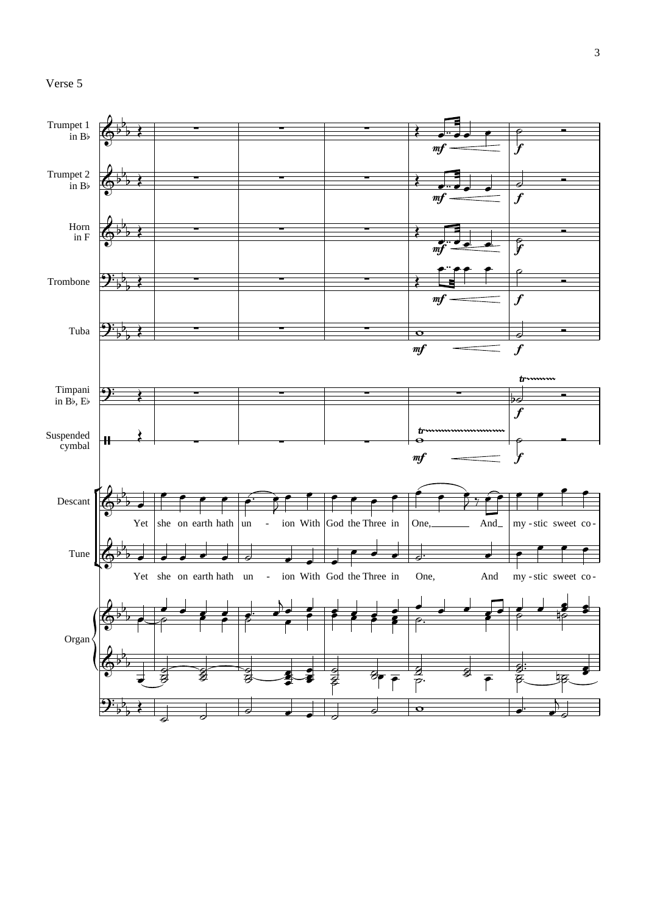